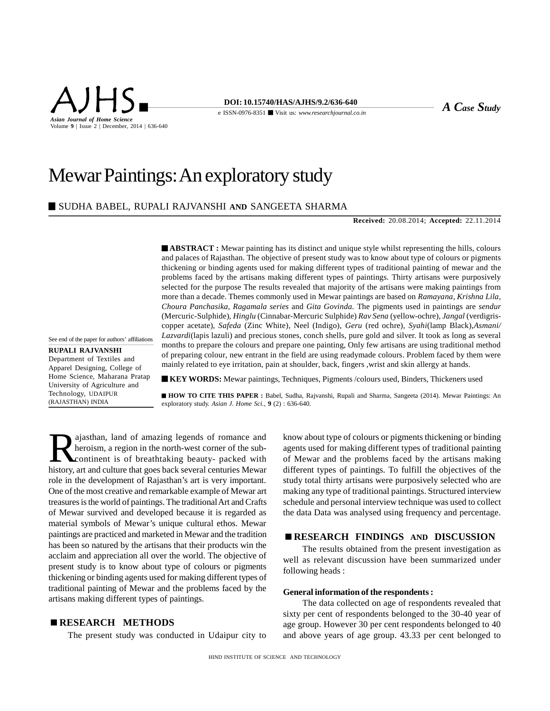

# Mewar Paintings: An exploratory study

## SUDHA BABEL, RUPALI RAJVANSHI **AND** SANGEETA SHARMA

**Received:** 20.08.2014; **Accepted:** 22.11.2014

**ABSTRACT**: Mewar painting has its distinct and unique style whilst representing the hills, colours and palaces of Rajasthan. The objective of present study was to know about type of colours or pigments thickening or binding agents used for making different types of traditional painting of mewar and the problems faced by the artisans making different types of paintings. Thirty artisans were purposively selected for the purpose The results revealed that majority of the artisans were making paintings from more than a decade. Themes commonly used in Mewar paintings are based on *Ramayana, Krishna Lila, Choura Panchasika, Ragamala series* and *Gita Govinda.* The pigments used in paintings are *sendur* (Mercuric-Sulphide), *Hinglu* (Cinnabar-Mercuric Sulphide) *Rav Sena* (yellow-ochre), *Jangal* (verdigriscopper acetate), *Safeda* (Zinc White), Neel (Indigo), *Geru* (red ochre), *Syahi*(lamp Black),*Asmani/ Lazvardi*(lapis lazuli) and precious stones, conch shells, pure gold and silver. It took as long as several months to prepare the colours and prepare one painting, Only few artisans are using traditional method of preparing colour, new entrant in the field are using readymade colours. Problem faced by them were mainly related to eye irritation, pain at shoulder, back, fingers ,wrist and skin allergy at hands.

See end of the paper for authors' affiliations

**RUPALI RAJVANSHI** Department of Textiles and Apparel Designing, College of Home Science, Maharana Pratap University of Agriculture and Technology, UDAIPUR (RAJASTHAN) INDIA

**KEY WORDS:** Mewar paintings, Techniques, Pigments /colours used, Binders, Thickeners used

 **HOW TO CITE THIS PAPER :** Babel, Sudha, Rajvanshi, Rupali and Sharma, Sangeeta (2014). Mewar Paintings: An exploratory study. *Asian J. Home Sci.,* **9** (2) : 636-640.

Rajasthan, land of amazing legends of romance and<br>heroism, a region in the north-west corner of the sub-<br>continent is of breathtaking beauty- packed with<br>history art and culture that goes back several centuries Mewar ajasthan, land of amazing legends of romance and heroism, a region in the north-west corner of the subcontinent is of breathtaking beauty- packed with history, art and culture that goes back several centuries Mewar role in the development of Rajasthan's art is very important. One of the most creative and remarkable example of Mewar art treasures is the world of paintings. The traditional Art and Crafts of Mewar survived and developed because it is regarded as material symbols of Mewar's unique cultural ethos. Mewar paintings are practiced and marketed in Mewar and the tradition has been so natured by the artisans that their products win the acclaim and appreciation all over the world. The objective of present study is to know about type of colours or pigments thickening or binding agents used for making different types of traditional painting of Mewar and the problems faced by the artisans making different types of paintings.

## **RESEARCH METHODS**

The present study was conducted in Udaipur city to

know about type of colours or pigments thickening or binding agents used for making different types of traditional painting of Mewar and the problems faced by the artisans making different types of paintings. To fulfill the objectives of the study total thirty artisans were purposively selected who are making any type of traditional paintings. Structured interview schedule and personal interview technique was used to collect the data Data was analysed using frequency and percentage.

## **RESEARCH FINDINGS AND DISCUSSION**

The results obtained from the present investigation as well as relevant discussion have been summarized under following heads :

#### **General information of the respondents :**

The data collected on age of respondents revealed that sixty per cent of respondents belonged to the 30-40 year of age group. However 30 per cent respondents belonged to 40 and above years of age group. 43.33 per cent belonged to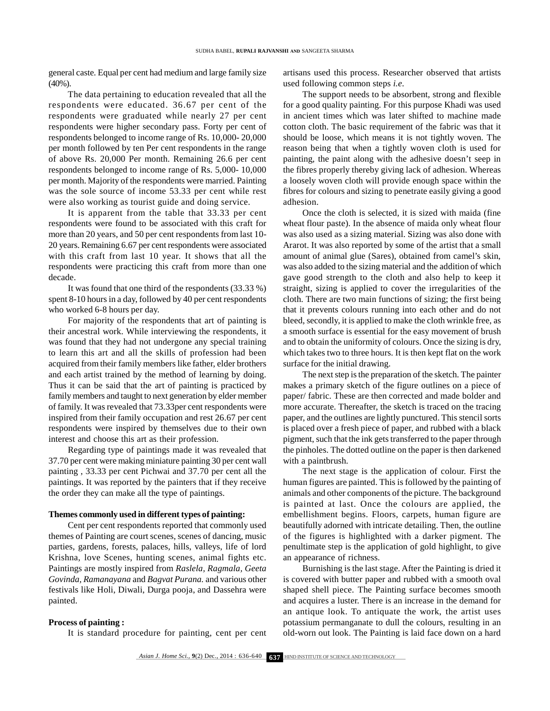general caste. Equal per cent had medium and large family size  $(40\%)$ .

The data pertaining to education revealed that all the respondents were educated. 36.67 per cent of the respondents were graduated while nearly 27 per cent respondents were higher secondary pass. Forty per cent of respondents belonged to income range of Rs. 10,000- 20,000 per month followed by ten Per cent respondents in the range of above Rs. 20,000 Per month. Remaining 26.6 per cent respondents belonged to income range of Rs. 5,000- 10,000 per month. Majority of the respondents were married. Painting was the sole source of income 53.33 per cent while rest were also working as tourist guide and doing service.

It is apparent from the table that 33.33 per cent respondents were found to be associated with this craft for more than 20 years, and 50 per cent respondents from last 10- 20 years. Remaining 6.67 per cent respondents were associated with this craft from last 10 year. It shows that all the respondents were practicing this craft from more than one decade.

It was found that one third of the respondents (33.33 %) spent 8-10 hours in a day, followed by 40 per cent respondents who worked 6-8 hours per day.

For majority of the respondents that art of painting is their ancestral work. While interviewing the respondents, it was found that they had not undergone any special training to learn this art and all the skills of profession had been acquired from their family members like father, elder brothers and each artist trained by the method of learning by doing. Thus it can be said that the art of painting is practiced by family members and taught to next generation by elder member of family. It was revealed that 73.33per cent respondents were inspired from their family occupation and rest 26.67 per cent respondents were inspired by themselves due to their own interest and choose this art as their profession.

Regarding type of paintings made it was revealed that 37.70 per cent were making miniature painting 30 per cent wall painting , 33.33 per cent Pichwai and 37.70 per cent all the paintings. It was reported by the painters that if they receive the order they can make all the type of paintings.

#### **Themes commonly used in different types of painting:**

Cent per cent respondents reported that commonly used themes of Painting are court scenes, scenes of dancing, music parties, gardens, forests, palaces, hills, valleys, life of lord Krishna, love Scenes, hunting scenes, animal fights etc. Paintings are mostly inspired from *Raslela, Ragmala, Geeta Govinda, Ramanayana* and *Bagvat Purana.* and various other festivals like Holi, Diwali, Durga pooja, and Dassehra were painted.

## **Process of painting :**

It is standard procedure for painting, cent per cent

artisans used this process. Researcher observed that artists used following common steps *i.e*.

The support needs to be absorbent, strong and flexible for a good quality painting. For this purpose Khadi was used in ancient times which was later shifted to machine made cotton cloth. The basic requirement of the fabric was that it should be loose, which means it is not tightly woven. The reason being that when a tightly woven cloth is used for painting, the paint along with the adhesive doesn't seep in the fibres properly thereby giving lack of adhesion. Whereas a loosely woven cloth will provide enough space within the fibres for colours and sizing to penetrate easily giving a good adhesion.

Once the cloth is selected, it is sized with maida (fine wheat flour paste). In the absence of maida only wheat flour was also used as a sizing material. Sizing was also done with Ararot. It was also reported by some of the artist that a small amount of animal glue (Sares), obtained from camel's skin, was also added to the sizing material and the addition of which gave good strength to the cloth and also help to keep it straight, sizing is applied to cover the irregularities of the cloth. There are two main functions of sizing; the first being that it prevents colours running into each other and do not bleed, secondly, it is applied to make the cloth wrinkle free, as a smooth surface is essential for the easy movement of brush and to obtain the uniformity of colours. Once the sizing is dry, which takes two to three hours. It is then kept flat on the work surface for the initial drawing.

The next step is the preparation of the sketch. The painter makes a primary sketch of the figure outlines on a piece of paper/ fabric. These are then corrected and made bolder and more accurate. Thereafter, the sketch is traced on the tracing paper, and the outlines are lightly punctured. This stencil sorts is placed over a fresh piece of paper, and rubbed with a black pigment, such that the ink gets transferred to the paper through the pinholes. The dotted outline on the paper is then darkened with a paintbrush.

The next stage is the application of colour. First the human figures are painted. This is followed by the painting of animals and other components of the picture. The background is painted at last. Once the colours are applied, the embellishment begins. Floors, carpets, human figure are beautifully adorned with intricate detailing. Then, the outline of the figures is highlighted with a darker pigment. The penultimate step is the application of gold highlight, to give an appearance of richness.

Burnishing is the last stage. After the Painting is dried it is covered with butter paper and rubbed with a smooth oval shaped shell piece. The Painting surface becomes smooth and acquires a luster. There is an increase in the demand for an antique look. To antiquate the work, the artist uses potassium permanganate to dull the colours, resulting in an old-worn out look. The Painting is laid face down on a hard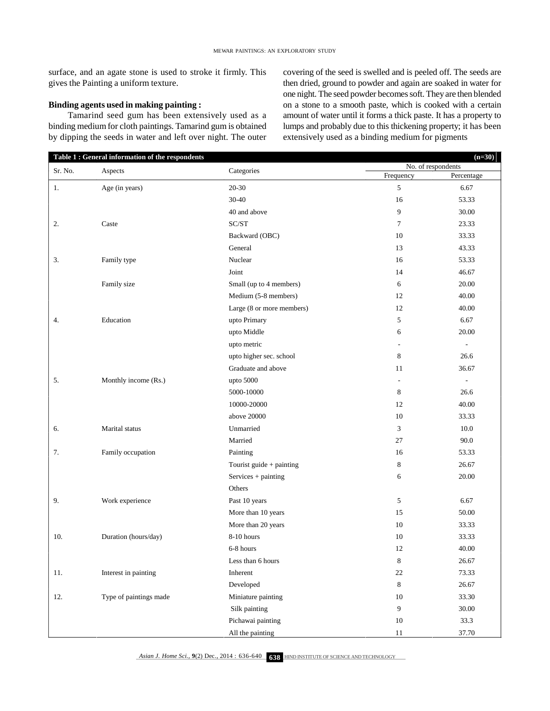surface, and an agate stone is used to stroke it firmly. This gives the Painting a uniform texture.

## **Binding agents used in making painting :**

Tamarind seed gum has been extensively used as a binding medium for cloth paintings. Tamarind gum is obtained by dipping the seeds in water and left over night. The outer covering of the seed is swelled and is peeled off. The seeds are then dried, ground to powder and again are soaked in water for one night. The seed powder becomes soft. They are then blended on a stone to a smooth paste, which is cooked with a certain amount of water until it forms a thick paste. It has a property to lumps and probably due to this thickening property; it has been extensively used as a binding medium for pigments

| Table 1 : General information of the respondents |                        |                           | $(n=30)$<br>No. of respondents |                          |
|--------------------------------------------------|------------------------|---------------------------|--------------------------------|--------------------------|
| Sr. No.                                          | Aspects                | Categories                | Frequency                      | Percentage               |
| 1.                                               | Age (in years)         | 20-30                     | 5                              | 6.67                     |
|                                                  |                        | 30-40                     | 16                             | 53.33                    |
|                                                  |                        | 40 and above              | 9                              | 30.00                    |
| 2.                                               | Caste                  | SC/ST                     | $\tau$                         | 23.33                    |
|                                                  |                        | Backward (OBC)            | 10                             | 33.33                    |
|                                                  |                        | General                   | 13                             | 43.33                    |
| 3.                                               | Family type            | Nuclear                   | 16                             | 53.33                    |
|                                                  |                        | Joint                     | 14                             | 46.67                    |
|                                                  | Family size            | Small (up to 4 members)   | 6                              | 20.00                    |
|                                                  |                        | Medium (5-8 members)      | 12                             | 40.00                    |
|                                                  |                        | Large (8 or more members) | 12                             | 40.00                    |
| 4.                                               | Education              | upto Primary              | 5                              | 6.67                     |
|                                                  |                        | upto Middle               | 6                              | 20.00                    |
|                                                  |                        | upto metric               | $\overline{\phantom{a}}$       | $\overline{\phantom{a}}$ |
|                                                  |                        | upto higher sec. school   | 8                              | 26.6                     |
|                                                  |                        | Graduate and above        | 11                             | 36.67                    |
| 5.                                               | Monthly income (Rs.)   | upto 5000                 | $\overline{\phantom{a}}$       | $\overline{\phantom{a}}$ |
|                                                  |                        | 5000-10000                | 8                              | 26.6                     |
|                                                  |                        | 10000-20000               | 12                             | 40.00                    |
|                                                  |                        | above 20000               | 10                             | 33.33                    |
| 6.                                               | Marital status         | Unmarried                 | 3                              | 10.0                     |
|                                                  |                        | Married                   | 27                             | 90.0                     |
| 7.                                               | Family occupation      | Painting                  | 16                             | 53.33                    |
|                                                  |                        | Tourist guide + painting  | 8                              | 26.67                    |
|                                                  |                        | Services + painting       | 6                              | 20.00                    |
|                                                  |                        | Others                    |                                |                          |
| 9.                                               | Work experience        | Past 10 years             | 5                              | 6.67                     |
|                                                  |                        | More than 10 years        | 15                             | 50.00                    |
|                                                  |                        | More than 20 years        | 10                             | 33.33                    |
| 10.                                              | Duration (hours/day)   | 8-10 hours                | 10                             | 33.33                    |
|                                                  |                        | 6-8 hours                 | 12                             | 40.00                    |
|                                                  |                        | Less than 6 hours         | 8                              | 26.67                    |
| 11.                                              | Interest in painting   | Inherent                  | $22\,$                         | 73.33                    |
|                                                  |                        | Developed                 | 8                              | 26.67                    |
| 12.                                              | Type of paintings made | Miniature painting        | 10                             | 33.30                    |
|                                                  |                        | Silk painting             | 9                              | $30.00\,$                |
|                                                  |                        | Pichawai painting         | 10                             | 33.3                     |
|                                                  |                        | All the painting          | 11                             | 37.70                    |

Asian J. Home Sci., 9(2) Dec., 2014 : **636-640 638** HIND INSTITUTE OF SCIENCE AND TECHNOLOGY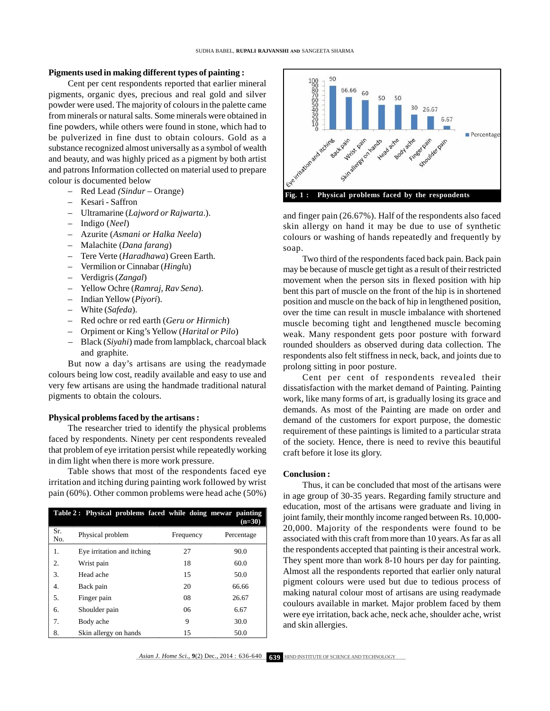## **Pigments used in making different types of painting :**

Cent per cent respondents reported that earlier mineral pigments, organic dyes, precious and real gold and silver powder were used. The majority of colours in the palette came from minerals or natural salts. Some minerals were obtained in fine powders, while others were found in stone, which had to be pulverized in fine dust to obtain colours. Gold as a substance recognized almost universally as a symbol of wealth and beauty, and was highly priced as a pigment by both artist and patrons Information collected on material used to prepare colour is documented below

- Red Lead *(Sindur* Orange)
- Kesari Saffron
- Ultramarine (*Lajword or Rajwarta*.).
- Indigo (*Neel*)
- Azurite (*Asmani or Halka Neela*)
- Malachite (*Dana farang*)
- Tere Verte (*Haradhawa*) Green Earth.
- Vermilion or Cinnabar (*Hingl*u)
- Verdigris (*Zangal*)
- Yellow Ochre (*Ramraj, Rav Sena*).
- Indian Yellow (*Piyori*).
- White (*Safeda*).
- Red ochre or red earth (*Geru or Hirmich*)
- Orpiment or King's Yellow (*Harital or Pilo*)
- Black (*Siyahi*) made from lampblack, charcoal black and graphite.

But now a day's artisans are using the readymade colours being low cost, readily available and easy to use and very few artisans are using the handmade traditional natural pigments to obtain the colours.

### **Physical problems faced by the artisans :**

The researcher tried to identify the physical problems faced by respondents. Ninety per cent respondents revealed that problem of eye irritation persist while repeatedly working in dim light when there is more work pressure.

Table shows that most of the respondents faced eye irritation and itching during painting work followed by wrist pain (60%). Other common problems were head ache (50%)

| Table 2: Physical problems faced while doing mewar painting<br>$(n=30)$ |                            |           |            |  |  |
|-------------------------------------------------------------------------|----------------------------|-----------|------------|--|--|
| Sr.<br>No.                                                              | Physical problem           | Frequency | Percentage |  |  |
| 1.                                                                      | Eye irritation and itching | 27        | 90.0       |  |  |
| 2.                                                                      | Wrist pain                 | 18        | 60.0       |  |  |
| 3.                                                                      | Head ache                  | 15        | 50.0       |  |  |
| 4.                                                                      | Back pain                  | 20        | 66.66      |  |  |
| 5.                                                                      | Finger pain                | 08        | 26.67      |  |  |
| 6.                                                                      | Shoulder pain              | 06        | 6.67       |  |  |
| 7.                                                                      | Body ache                  | 9         | 30.0       |  |  |
| 8.                                                                      | Skin allergy on hands      | 15        | 50.0       |  |  |



and finger pain (26.67%). Half of the respondents also faced skin allergy on hand it may be due to use of synthetic colours or washing of hands repeatedly and frequently by soap.

Two third of the respondents faced back pain. Back pain may be because of muscle get tight as a result of their restricted movement when the person sits in flexed position with hip bent this part of muscle on the front of the hip is in shortened position and muscle on the back of hip in lengthened position, over the time can result in muscle imbalance with shortened muscle becoming tight and lengthened muscle becoming weak. Many respondent gets poor posture with forward rounded shoulders as observed during data collection. The respondents also felt stiffness in neck, back, and joints due to prolong sitting in poor posture.

Cent per cent of respondents revealed their dissatisfaction with the market demand of Painting. Painting work, like many forms of art, is gradually losing its grace and demands. As most of the Painting are made on order and demand of the customers for export purpose, the domestic requirement of these paintings is limited to a particular strata of the society. Hence, there is need to revive this beautiful craft before it lose its glory.

## **Conclusion :**

Thus, it can be concluded that most of the artisans were in age group of 30-35 years. Regarding family structure and education, most of the artisans were graduate and living in joint family, their monthly income ranged between Rs. 10,000- 20,000. Majority of the respondents were found to be associated with this craft from more than 10 years. As far as all the respondents accepted that painting is their ancestral work. They spent more than work 8-10 hours per day for painting. Almost all the respondents reported that earlier only natural pigment colours were used but due to tedious process of making natural colour most of artisans are using readymade coulours available in market. Major problem faced by them were eye irritation, back ache, neck ache, shoulder ache, wrist and skin allergies.

*Asian J. Home Sci.,* 9(2) Dec., 2014 : **636-640 639** HIND INSTITUTE OF SCIENCE AND TECHNOLOGY